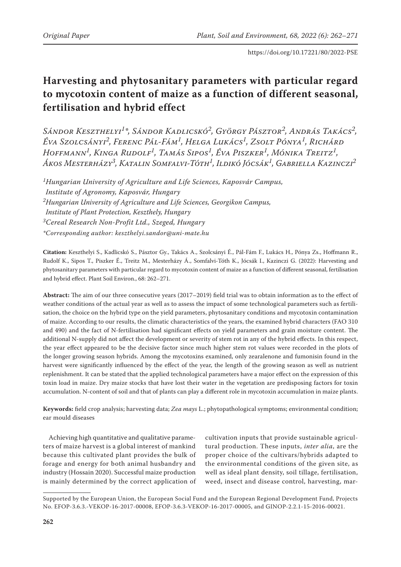# **Harvesting and phytosanitary parameters with particular regard to mycotoxin content of maize as a function of different seasonal, fertilisation and hybrid effect**

*Sándor Keszthelyi1\*, Sándor Kadlicskó2, György Pásztor2, András Takács2, Éva Szolcsányi2, Ferenc Pál-Fám1, Helga Lukács1, Zsolt Pónya1, Richárd Hoffmann1, Kinga Rudolf1, Tamás Sipos1, Éva Piszker1, Mónika Treitz1, Ákos Mesterházy3, Katalin Somfalvi-Tóth1, Ildikó Jócsák1, Gabriella Kazinczi2*

*1Hungarian University of Agriculture and Life Sciences, Kaposvár Campus, Institute of Agronomy, Kaposvár, Hungary 2Hungarian University of Agriculture and Life Sciences, Georgikon Campus, Institute of Plant Protection, Keszthely, Hungary 3Cereal Research Non-Profit Ltd., Szeged, Hungary \*Corresponding author: keszthelyi.sandor@uni-mate.hu*

**Citation:** Keszthelyi S., Kadlicskó S., Pásztor Gy., Takács A., Szolcsányi É., Pál-Fám F., Lukács H., Pónya Zs., Hoffmann R., Rudolf K., Sipos T., Piszker É., Treitz M., Mesterházy Á., Somfalvi-Tóth K., Jócsák I., Kazinczi G. (2022): Harvesting and phytosanitary parameters with particular regard to mycotoxin content of maize as a function of different seasonal, fertilisation and hybrid effect. Plant Soil Environ., 68: 262–271.

**Abstract:** The aim of our three consecutive years (2017–2019) field trial was to obtain information as to the effect of weather conditions of the actual year as well as to assess the impact of some technological parameters such as fertilisation, the choice on the hybrid type on the yield parameters, phytosanitary conditions and mycotoxin contamination of maize. According to our results, the climatic characteristics of the years, the examined hybrid characters (FAO 310 and 490) and the fact of N-fertilisation had significant effects on yield parameters and grain moisture content. The additional N-supply did not affect the development or severity of stem rot in any of the hybrid effects. In this respect, the year effect appeared to be the decisive factor since much higher stem rot values were recorded in the plots of the longer growing season hybrids. Among the mycotoxins examined, only zearalenone and fumonisin found in the harvest were significantly influenced by the effect of the year, the length of the growing season as well as nutrient replenishment. It can be stated that the applied technological parameters have a major effect on the expression of this toxin load in maize. Dry maize stocks that have lost their water in the vegetation are predisposing factors for toxin accumulation. N-content of soil and that of plants can play a different role in mycotoxin accumulation in maize plants.

**Keywords:** field crop analysis; harvesting data; *Zea mays* L.; phytopathological symptoms; environmental condition; ear mould diseases

Achieving high quantitative and qualitative parameters of maize harvest is a global interest of mankind because this cultivated plant provides the bulk of forage and energy for both animal husbandry and industry (Hossain 2020). Successful maize production is mainly determined by the correct application of

cultivation inputs that provide sustainable agricultural production. These inputs, *inter alia*, are the proper choice of the cultivars/hybrids adapted to the environmental conditions of the given site, as well as ideal plant density, soil tillage, fertilisation, weed, insect and disease control, harvesting, mar-

Supported by the European Union, the European Social Fund and the European Regional Development Fund, Projects No. EFOP-3.6.3.-VEKOP-16-2017-00008, EFOP-3.6.3-VEKOP-16-2017-00005, and GINOP-2.2.1-15-2016-00021.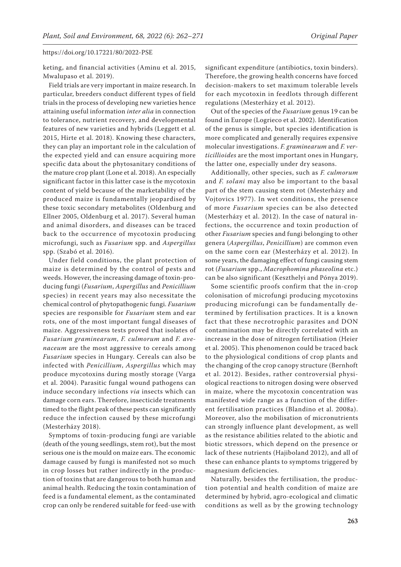keting, and financial activities (Aminu et al. 2015, Mwalupaso et al. 2019).

Field trials are very important in maize research. In particular, breeders conduct different types of field trials in the process of developing new varieties hence attaining useful information *inter alia* in connection to tolerance, nutrient recovery, and developmental features of new varieties and hybrids (Leggett et al. 2015, Hirte et al. 2018). Knowing these characters, they can play an important role in the calculation of the expected yield and can ensure acquiring more specific data about the phytosanitary conditions of the mature crop plant (Lone et al. 2018). An especially significant factor in this latter case is the mycotoxin content of yield because of the marketability of the produced maize is fundamentally jeopardised by these toxic secondary metabolites (Oldenburg and Ellner 2005, Oldenburg et al. 2017). Several human and animal disorders, and diseases can be traced back to the occurrence of mycotoxin producing microfungi, such as *Fusarium* spp. and *Aspergillus* spp. (Szabó et al. 2016).

Under field conditions, the plant protection of maize is determined by the control of pests and weeds. However, the increasing damage of toxin-producing fungi (*Fusarium*, *Aspergillus* and *Penicillium* species) in recent years may also necessitate the chemical control of phytopathogenic fungi. *Fusarium* species are responsible for *Fusarium* stem and ear rots, one of the most important fungal diseases of maize. Aggressiveness tests proved that isolates of *Fusarium graminearum*, *F. culmorum* and *F. avenaceum* are the most aggressive to cereals among *Fusarium* species in Hungary. Cereals can also be infected with *Penicillium*, *Aspergillus* which may produce mycotoxins during mostly storage (Varga et al. 2004). Parasitic fungal wound pathogens can induce secondary infections *via* insects which can damage corn ears. Therefore, insecticide treatments timed to the flight peak of these pests can significantly reduce the infection caused by these microfungi (Mesterházy 2018).

Symptoms of toxin-producing fungi are variable (death of the young seedlings, stem rot), but the most serious one is the mould on maize ears. The economic damage caused by fungi is manifested not so much in crop losses but rather indirectly in the production of toxins that are dangerous to both human and animal health. Reducing the toxin contamination of feed is a fundamental element, as the contaminated crop can only be rendered suitable for feed-use with

significant expenditure (antibiotics, toxin binders). Therefore, the growing health concerns have forced decision-makers to set maximum tolerable levels for each mycotoxin in feedlots through different regulations (Mesterházy et al. 2012).

Out of the species of the *Fusarium* genus 19 can be found in Europe (Logrieco et al. 2002). Identification of the genus is simple, but species identification is more complicated and generally requires expensive molecular investigations. *F. graminearum* and *F. verticillioides* are the most important ones in Hungary, the latter one, especially under dry seasons.

Additionally, other species, such as *F. culmorum*  and *F. solani* may also be important to the basal part of the stem causing stem rot (Mesterházy and Vojtovics 1977). In wet conditions, the presence of more *Fusarium* species can be also detected (Mesterházy et al. 2012). In the case of natural infections, the occurrence and toxin production of other *Fusarium* species and fungi belonging to other genera (*Aspergillus*, *Penicillium*) are common even on the same corn ear (Mesterházy et al. 2012). In some years, the damaging effect of fungi causing stem rot (*Fusarium* spp., *Macrophomina phaseolina* etc.) can be also significant (Keszthelyi and Pónya 2019).

Some scientific proofs confirm that the in-crop colonisation of microfungi producing mycotoxins producing microfungi can be fundamentally determined by fertilisation practices. It is a known fact that these necrotrophic parasites and DON contamination may be directly correlated with an increase in the dose of nitrogen fertilisation (Heier et al. 2005). This phenomenon could be traced back to the physiological conditions of crop plants and the changing of the crop canopy structure (Bernhoft et al. 2012). Besides, rather controversial physiological reactions to nitrogen dosing were observed in maize, where the mycotoxin concentration was manifested wide range as a function of the different fertilisation practices (Blandino et al. 2008a). Moreover, also the mobilisation of micronutrients can strongly influence plant development, as well as the resistance abilities related to the abiotic and biotic stressors, which depend on the presence or lack of these nutrients (Hajiboland 2012), and all of these can enhance plants to symptoms triggered by magnesium deficiencies.

Naturally, besides the fertilisation, the production potential and health condition of maize are determined by hybrid, agro-ecological and climatic conditions as well as by the growing technology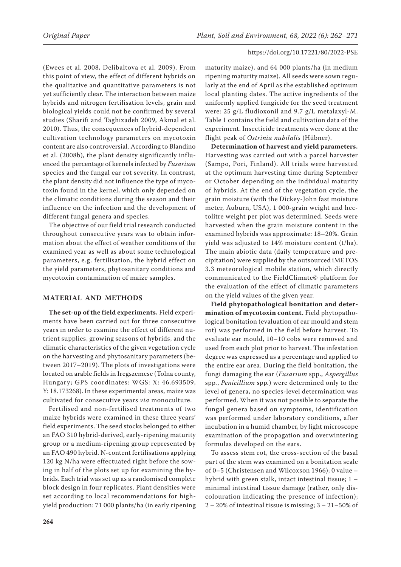(Ewees et al. 2008, Delibaltova et al. 2009). From this point of view, the effect of different hybrids on the qualitative and quantitative parameters is not yet sufficiently clear. The interaction between maize hybrids and nitrogen fertilisation levels, grain and biological yields could not be confirmed by several studies (Sharifi and Taghizadeh 2009, Akmal et al. 2010). Thus, the consequences of hybrid-dependent cultivation technology parameters on mycotoxin content are also controversial. According to Blandino et al. (2008b), the plant density significantly influenced the percentage of kernels infected by *Fusarium* species and the fungal ear rot severity. In contrast, the plant density did not influence the type of mycotoxin found in the kernel, which only depended on the climatic conditions during the season and their influence on the infection and the development of different fungal genera and species.

The objective of our field trial research conducted throughout consecutive years was to obtain information about the effect of weather conditions of the examined year as well as about some technological parameters, e.g. fertilisation, the hybrid effect on the yield parameters, phytosanitary conditions and mycotoxin contamination of maize samples.

# **MATERIAL AND METHODS**

**The set-up of the field experiments.** Field experiments have been carried out for three consecutive years in order to examine the effect of different nutrient supplies, growing seasons of hybrids, and the climatic characteristics of the given vegetation cycle on the harvesting and phytosanitary parameters (between 2017–2019). The plots of investigations were located on arable fields in Iregszemcse (Tolna county, Hungary; GPS coordinates: WGS: X: 46.693509, Y: 18.173268). In these experimental areas, maize was cultivated for consecutive years *via* monoculture.

Fertilised and non-fertilised treatments of two maize hybrids were examined in these three years' field experiments. The seed stocks belonged to either an FAO 310 hybrid-derived, early-ripening maturity group or a medium-ripening group represented by an FAO 490 hybrid. N-content fertilisations applying 120 kg N/ha were effectuated right before the sowing in half of the plots set up for examining the hybrids. Each trial was set up as a randomised complete block design in four replicates. Plant densities were set according to local recommendations for highyield production: 71 000 plants/ha (in early ripening

maturity maize), and 64 000 plants/ha (in medium ripening maturity maize). All seeds were sown regularly at the end of April as the established optimum local planting dates. The active ingredients of the uniformly applied fungicide for the seed treatment were: 25 g/L fludioxonil and 9.7 g/L metalaxyl-M. Table 1 contains the field and cultivation data of the experiment. Insecticide treatments were done at the flight peak of *Ostrinia nubilalis* (Hübner).

**Determination of harvest and yield parameters.** Harvesting was carried out with a parcel harvester (Sampo, Pori, Finland). All trials were harvested at the optimum harvesting time during September or October depending on the individual maturity of hybrids. At the end of the vegetation cycle, the grain moisture (with the Dickey-John fast moisture meter, Auburn, USA), 1 000-grain weight and hectolitre weight per plot was determined. Seeds were harvested when the grain moisture content in the examined hybrids was approximate: 18–20%. Grain yield was adjusted to 14% moisture content (t/ha). The main abiotic data (daily temperature and precipitation) were supplied by the outsourced iMETOS 3.3 meteorological mobile station, which directly communicated to the FieldClimate© platform for the evaluation of the effect of climatic parameters on the yield values of the given year.

**Field phytopathological bonitation and determination of mycotoxin content.** Field phytopathological bonitation (evaluation of ear mould and stem rot) was performed in the field before harvest. To evaluate ear mould, 10–10 cobs were removed and used from each plot prior to harvest. The infestation degree was expressed as a percentage and applied to the entire ear area. During the field bonitation, the fungi damaging the ear (*Fusarium* spp., *Aspergillus*  spp*.*, *Penicillium* spp*.*) were determined only to the level of genera, no species-level determination was performed. When it was not possible to separate the fungal genera based on symptoms, identification was performed under laboratory conditions, after incubation in a humid chamber, by light microscope examination of the propagation and overwintering formulas developed on the ears.

To assess stem rot, the cross-section of the basal part of the stem was examined on a bonitation scale of 0–5 (Christensen and Wilcoxson 1966); 0 value – hybrid with green stalk, intact intestinal tissue; 1 – minimal intestinal tissue damage (rather, only discolouration indicating the presence of infection);  $2 - 20\%$  of intestinal tissue is missing;  $3 - 21 - 50\%$  of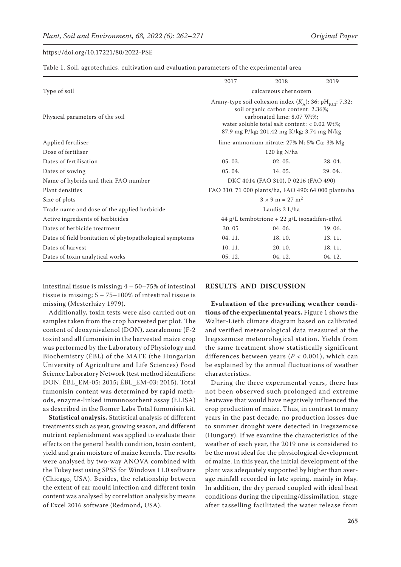Table 1. Soil, agrotechnics, cultivation and evaluation parameters of the experimental area

|                                                         | 2017                                                                                                                                                                                                                                         | 2018   | 2019   |  |  |
|---------------------------------------------------------|----------------------------------------------------------------------------------------------------------------------------------------------------------------------------------------------------------------------------------------------|--------|--------|--|--|
| Type of soil                                            | calcareous chernozem                                                                                                                                                                                                                         |        |        |  |  |
| Physical parameters of the soil                         | Arany-type soil cohesion index $(K_A)$ : 36; pH <sub>KCl</sub> : 7.32;<br>soil organic carbon content: 2.36%;<br>carbonated lime: 8.07 Wt%;<br>water soluble total salt content: $< 0.02$ Wt%;<br>87.9 mg P/kg; 201.42 mg K/kg; 3.74 mg N/kg |        |        |  |  |
| Applied fertiliser                                      | lime-ammonium nitrate: 27% N; 5% Ca; 3% Mg                                                                                                                                                                                                   |        |        |  |  |
| Dose of fertiliser                                      | $120$ kg N/ha                                                                                                                                                                                                                                |        |        |  |  |
| Dates of fertilisation                                  | 05.03.                                                                                                                                                                                                                                       | 02.05. | 28.04. |  |  |
| Dates of sowing                                         | $0.5.04$ .                                                                                                                                                                                                                                   | 14.05. | 29.04  |  |  |
| Name of hybrids and their FAO number                    | DKC 4014 (FAO 310), P 0216 (FAO 490)                                                                                                                                                                                                         |        |        |  |  |
| Plant densities                                         | FAO 310: 71 000 plants/ha, FAO 490: 64 000 plants/ha                                                                                                                                                                                         |        |        |  |  |
| Size of plots                                           | $3 \times 9$ m = 27 m <sup>2</sup>                                                                                                                                                                                                           |        |        |  |  |
| Trade name and dose of the applied herbicide            | Laudis 2 L/ha                                                                                                                                                                                                                                |        |        |  |  |
| Active ingredients of herbicides                        | 44 g/L tembotrione + 22 g/L isoxadifen-ethyl                                                                                                                                                                                                 |        |        |  |  |
| Dates of herbicide treatment                            | 30.05                                                                                                                                                                                                                                        | 04.06. | 19.06. |  |  |
| Dates of field bonitation of phytopathological symptoms | 04.11.                                                                                                                                                                                                                                       | 18.10. | 13.11. |  |  |
| Dates of harvest                                        | 10.11.                                                                                                                                                                                                                                       | 20.10. | 18.11. |  |  |
| Dates of toxin analytical works                         | 05.12.                                                                                                                                                                                                                                       | 04.12. | 04.12. |  |  |

intestinal tissue is missing; 4 – 50–75% of intestinal tissue is missing;  $5 - 75 - 100\%$  of intestinal tissue is missing (Mesterházy 1979).

Additionally, toxin tests were also carried out on samples taken from the crop harvested per plot. The content of deoxynivalenol (DON), zearalenone (F-2 toxin) and all fumonisin in the harvested maize crop was performed by the Laboratory of Physiology and Biochemistry (ÉBL) of the MATE (the Hungarian University of Agriculture and Life Sciences) Food Science Laboratory Network (test method identifiers: DON: ÉBL\_EM-05: 2015; ÉBL\_EM-03: 2015). Total fumonisin content was determined by rapid methods, enzyme-linked immunosorbent assay (ELISA) as described in the Romer Labs Total fumonisin kit.

**Statistical analysis.** Statistical analysis of different treatments such as year, growing season, and different nutrient replenishment was applied to evaluate their effects on the general health condition, toxin content, yield and grain moisture of maize kernels. The results were analysed by two-way ANOVA combined with the Tukey test using SPSS for Windows 11.0 software (Chicago, USA). Besides, the relationship between the extent of ear mould infection and different toxin content was analysed by correlation analysis by means of Excel 2016 software (Redmond, USA).

#### **RESULTS AND DISCUSSION**

**Evaluation of the prevailing weather conditions of the experimental years.** Figure 1 shows the Walter-Lieth climate diagram based on calibrated and verified meteorological data measured at the Iregszemcse meteorological station. Yields from the same treatment show statistically significant differences between years (*P* < 0.001), which can be explained by the annual fluctuations of weather characteristics.

During the three experimental years, there has not been observed such prolonged and extreme heatwave that would have negatively influenced the crop production of maize. Thus, in contrast to many years in the past decade, no production losses due to summer drought were detected in Iregszemcse (Hungary). If we examine the characteristics of the weather of each year, the 2019 one is considered to be the most ideal for the physiological development of maize. In this year, the initial development of the plant was adequately supported by higher than average rainfall recorded in late spring, mainly in May. In addition, the dry period coupled with ideal heat conditions during the ripening/dissimilation, stage after tasselling facilitated the water release from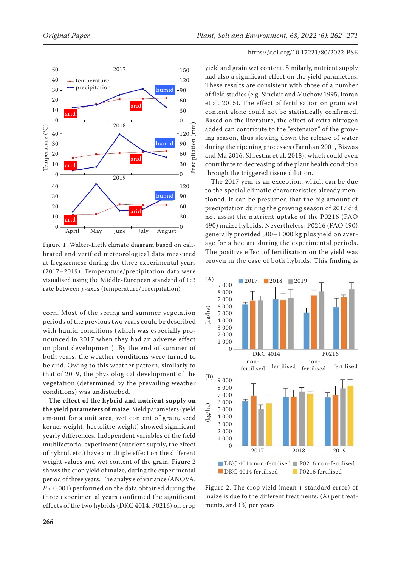

Figure 1. Walter-Lieth climate diagram based on calibrated and verified meteorological data measured at Iregszemcse during the three experimental years (2017–2019). Temperature/precipitation data were visualised using the Middle-European standard of 1 :3 rate between *y*-axes (temperature/precipitation)

corn. Most of the spring and summer vegetation periods of the previous two years could be described with humid conditions (which was especially pronounced in 2017 when they had an adverse effect on plant development). By the end of summer of both years, the weather conditions were turned to be arid. Owing to this weather pattern, similarly to that of 2019, the physiological development of the vegetation (determined by the prevailing weather conditions) was undisturbed.

**The effect of the hybrid and nutrient supply on the yield parameters of maize.** Yield parameters (yield amount for a unit area, wet content of grain, seed kernel weight, hectolitre weight) showed significant yearly differences. Independent variables of the field multifactorial experiment (nutrient supply, the effect of hybrid, etc.) have a multiple effect on the different weight values and wet content of the grain. Figure 2 shows the crop yield of maize, during the experimental period of three years. The analysis of variance (ANOVA, *P* < 0.001) performed on the data obtained during the three experimental years confirmed the significant effects of the two hybrids (DKC 4014, P0216) on crop

# https://doi.org/10.17221/80/2022-PSE

yield and grain wet content. Similarly, nutrient supply had also a significant effect on the yield parameters. These results are consistent with those of a number of field studies (e.g. Sinclair and Muchow 1995, Imran et al. 2015). The effect of fertilisation on grain wet content alone could not be statistically confirmed. Based on the literature, the effect of extra nitrogen added can contribute to the "extension" of the growing season, thus slowing down the release of water during the ripening processes (Farnhan 2001, Biswas and Ma 2016, Shrestha et al. 2018), which could even contribute to decreasing of the plant health condition through the triggered tissue dilution.

The 2017 year is an exception, which can be due to the special climatic characteristics already mentioned. It can be presumed that the big amount of precipitation during the growing season of 2017 did not assist the nutrient uptake of the P0216 (FAO 490) maize hybrids. Nevertheless, P0216 (FAO 490) generally provided 500–1 000 kg plus yield on average for a hectare during the experimental periods. The positive effect of fertilisation on the yield was proven in the case of both hybrids. This finding is



Figure 2. The crop yield (mean + standard error) of maize is due to the different treatments. (A) per treatments, and (B) per years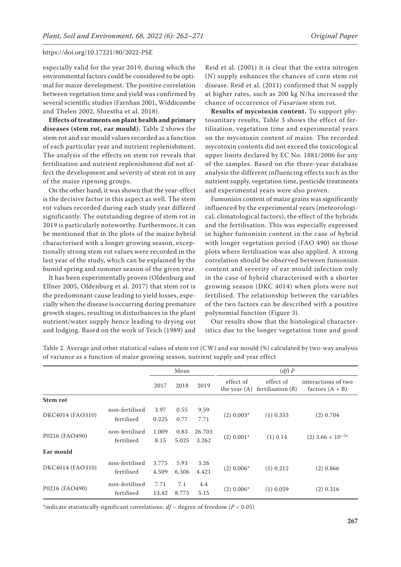especially valid for the year 2019, during which the environmental factors could be considered to be optimal for maize development. The positive correlation between vegetation time and yield was confirmed by several scientific studies (Farnhan 2001, Widdicombe and Thelen 2002, Shrestha et al. 2018).

**Effects of treatments on plant health and primary diseases (stem rot, ear mould).** Table 2 shows the stem rot and ear mould values recorded as a function of each particular year and nutrient replenishment. The analysis of the effects on stem rot reveals that fertilisation and nutrient replenishment did not affect the development and severity of stem rot in any of the maize ripening groups.

On the other hand, it was shown that the year-effect is the decisive factor in this aspect as well. The stem rot values recorded during each study year differed significantly. The outstanding degree of stem rot in 2019 is particularly noteworthy. Furthermore, it can be mentioned that in the plots of the maize hybrid characterised with a longer growing season, exceptionally strong stem rot values were recorded in the last year of the study, which can be explained by the humid spring and summer season of the given year.

It has been experimentally proven (Oldenburg and Ellner 2005, Oldenburg et al. 2017) that stem rot is the predominant cause leading to yield losses, especially when the disease is occurring during premature growth stages, resulting in disturbances in the plant nutrient/water supply hence leading to drying out and lodging. Based on the work of Teich (1989) and

Reid et al. (2001) it is clear that the extra nitrogen (N) supply enhances the chances of corn stem rot disease. Reid et al. (2011) confirmed that N supply at higher rates, such as 200 kg N/ha increased the chance of occurrence of *Fusarium* stem rot.

**Results of mycotoxin content.** To support phytosanitary results, Table 3 shows the effect of fertilisation, vegetation time and experimental years on the mycotoxin content of maize. The recorded mycotoxin contents did not exceed the toxicological upper limits declared by EC No. 1881/2006 for any of the samples. Based on the three-year database analysis the different influencing effects such as the nutrient supply, vegetation time, pesticide treatments and experimental years were also proven.

Fumonisin content of maize grains was significantly influenced by the experimental years (meteorological, climatological factors), the effect of the hybrids and the fertilisation. This was especially expressed in higher fumonisin content in the case of hybrid with longer vegetation period (FAO 490) on those plots where fertilisation was also applied. A strong correlation should be observed between fumonisin content and severity of ear mould infection only in the case of hybrid characterised with a shorter growing season (DKC 4014) when plots were not fertilised*.* The relationship between the variables of the two factors can be described with a positive polynomial function (Figure 3).

Our results show that the histological characteristics due to the longer vegetation time and good

|                  |                              | Mean           |               |                 | (df) P                      |                                |                                          |
|------------------|------------------------------|----------------|---------------|-----------------|-----------------------------|--------------------------------|------------------------------------------|
|                  |                              | 2017           | 2018          | 2019            | effect of<br>the year $(A)$ | effect of<br>fertilisation (B) | interactions of two<br>factors $(A + B)$ |
| Stem rot         |                              |                |               |                 |                             |                                |                                          |
| DKC4014 (FAO310) | non-fertilised<br>fertilised | 3.97<br>0.225  | 0.55<br>0.77  | 9.59<br>7.71    | $(2)$ 0.003 <sup>*</sup>    | $(1)$ 0.353                    | $(2)$ 0.704                              |
| P0216 (FAO490)   | non-fertilised<br>fertilised | 1.009<br>8.15  | 0.83<br>5.025 | 26.703<br>3.262 | $(2) 0.001*$                | $(1)$ 0.14                     | $(2)$ 3.66 $\times$ 10 <sup>-5*</sup>    |
| Ear mould        |                              |                |               |                 |                             |                                |                                          |
| DKC4014 (FAO310) | non-fertilised<br>fertilised | 3.775<br>4.509 | 5.93<br>6.306 | 3.26<br>4.421   | $(2)$ 0.006*                | $(1)$ 0.212                    | $(2)$ 0.866                              |
| P0216 (FAO490)   | non-fertilised<br>fertilised | 7.71<br>13.42  | 7.1<br>8.775  | 4.4<br>5.15     | $(2)$ 0.006*                | $(1)$ 0.059                    | $(2)$ 0.316                              |

Table 2. Average and other statistical values of stem rot (CW) and ear mould (%) calculated by two-way analysis of variance as a function of maize growing season, nutrient supply and year effect

\*indicate statistically significant correlations;  $df -$  degree of freedom ( $P < 0.05$ )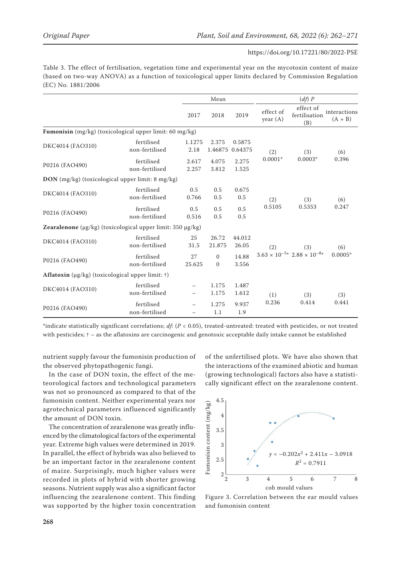Table 3. The effect of fertilisation, vegetation time and experimental year on the mycotoxin content of maize (based on two-way ANOVA) as a function of toxicological upper limits declared by Commission Regulation (EC) No. 1881/2006

|                                                            |                              | Mean           |                          |                   | (df) P                  |                                               |                           |
|------------------------------------------------------------|------------------------------|----------------|--------------------------|-------------------|-------------------------|-----------------------------------------------|---------------------------|
|                                                            |                              | 2017           | 2018                     | 2019              | effect of<br>year $(A)$ | effect of<br>fertilisation<br>(B)             | interactions<br>$(A + B)$ |
| Fumonisin (mg/kg) (toxicological upper limit: 60 mg/kg)    |                              |                |                          |                   |                         |                                               |                           |
| DKC4014 (FAO310)                                           | fertilised<br>non-fertilised | 1.1275<br>2.18 | 2.375<br>1.46875         | 0.5875<br>0.64375 | (2)                     | (3)                                           | (6)<br>0.396              |
| P0216 (FAO490)                                             | fertilised<br>non-fertilised | 2.617<br>2.257 | 4.075<br>3.812           | 2.275<br>1.525    | $0.0001*$               | $0.0003*$                                     |                           |
| DON (mg/kg) (toxicological upper limit: 8 mg/kg)           |                              |                |                          |                   |                         |                                               |                           |
| DKC4014 (FAO310)                                           | fertilised<br>non-fertilised | 0.5<br>0.766   | 0.5<br>0.5               | 0.675<br>0.5      | (2)<br>0.5105           | (3)<br>0.5353                                 | (6)<br>0.247              |
| P0216 (FAO490)                                             | fertilised<br>non-fertilised | 0.5<br>0.516   | 0.5<br>0.5               | 0.5<br>0.5        |                         |                                               |                           |
| Zearalenone (μg/kg) (toxicological upper limit: 350 μg/kg) |                              |                |                          |                   |                         |                                               |                           |
| DKC4014 (FAO310)                                           | fertilised<br>non-fertilised | 25<br>31.5     | 26.72<br>21.875          | 44.012<br>26.05   | (2)                     | (3)                                           | (6)<br>$0.0005*$          |
| P0216 (FAO490)                                             | fertilised<br>non-fertilised | 27<br>25.625   | $\mathbf{0}$<br>$\Omega$ | 14.88<br>3.556    |                         | $3.63 \times 10^{-5*}$ $2.88 \times 10^{-8*}$ |                           |
| Aflatoxin (μg/kg) (toxicological upper limit: †)           |                              |                |                          |                   |                         |                                               |                           |
| DKC4014 (FAO310)                                           | fertilised<br>non-fertilised |                | 1.175<br>1.175           | 1.487<br>1.612    | (1)                     | (3)                                           | (3)<br>0.441              |
| P0216 (FAO490)                                             | fertilised<br>non-fertilised |                | 1.275<br>1.1             | 9.937<br>1.9      | 0.236                   | 0.414                                         |                           |

\*indicate statistically significant correlations; *df*: (*P* < 0.05), treated-untreated: treated with pesticides, or not treated with pesticides; † – as the aflatoxins are carcinogenic and genotoxic acceptable daily intake cannot be established

nutrient supply favour the fumonisin production of the observed phytopathogenic fungi.

In the case of DON toxin, the effect of the meteorological factors and technological parameters was not so pronounced as compared to that of the fumonisin content. Neither experimental years nor agrotechnical parameters influenced significantly the amount of DON toxin.

The concentration of zearalenone was greatly influenced by the climatological factors of the experimental year. Extreme high values were determined in 2019. In parallel, the effect of hybrids was also believed to be an important factor in the zearalenone content of maize. Surprisingly, much higher values were recorded in plots of hybrid with shorter growing seasons. Nutrient supply was also a significant factor influencing the zearalenone content. This finding was supported by the higher toxin concentration

of the unfertilised plots. We have also shown that the interactions of the examined abiotic and human (growing technological) factors also have a statistically significant effect on the zearalenone content.



Figure 3. Correlation between the ear mould values and fumonisin content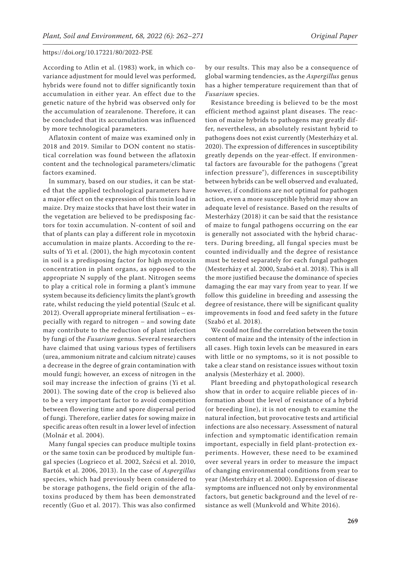According to Atlin et al. (1983) work, in which covariance adjustment for mould level was performed, hybrids were found not to differ significantly toxin accumulation in either year. An effect due to the genetic nature of the hybrid was observed only for the accumulation of zearalenone. Therefore, it can be concluded that its accumulation was influenced by more technological parameters.

Aflatoxin content of maize was examined only in 2018 and 2019. Similar to DON content no statistical correlation was found between the aflatoxin content and the technological parameters/climatic factors examined.

In summary, based on our studies, it can be stated that the applied technological parameters have a major effect on the expression of this toxin load in maize. Dry maize stocks that have lost their water in the vegetation are believed to be predisposing factors for toxin accumulation. N-content of soil and that of plants can play a different role in mycotoxin accumulation in maize plants. According to the results of Yi et al. (2001), the high mycotoxin content in soil is a predisposing factor for high mycotoxin concentration in plant organs, as opposed to the appropriate N supply of the plant. Nitrogen seems to play a critical role in forming a plant's immune system because its deficiency limits the plant's growth rate, whilst reducing the yield potential (Szulc et al. 2012). Overall appropriate mineral fertilisation – especially with regard to nitrogen – and sowing date may contribute to the reduction of plant infection by fungi of the *Fusarium* genus. Several researchers have claimed that using various types of fertilisers (urea, ammonium nitrate and calcium nitrate) causes a decrease in the degree of grain contamination with mould fungi; however, an excess of nitrogen in the soil may increase the infection of grains (Yi et al. 2001). The sowing date of the crop is believed also to be a very important factor to avoid competition between flowering time and spore dispersal period of fungi. Therefore, earlier dates for sowing maize in specific areas often result in a lower level of infection (Molnár et al. 2004).

Many fungal species can produce multiple toxins or the same toxin can be produced by multiple fungal species (Logrieco et al. 2002, Szécsi et al. 2010, Bartók et al. 2006, 2013). In the case of *Aspergillus*  species, which had previously been considered to be storage pathogens, the field origin of the aflatoxins produced by them has been demonstrated recently (Guo et al. 2017). This was also confirmed

by our results. This may also be a consequence of global warming tendencies, as the *Aspergillus* genus has a higher temperature requirement than that of *Fusarium* species.

Resistance breeding is believed to be the most efficient method against plant diseases. The reaction of maize hybrids to pathogens may greatly differ, nevertheless, an absolutely resistant hybrid to pathogens does not exist currently (Mesterházy et al. 2020). The expression of differences in susceptibility greatly depends on the year-effect. If environmental factors are favourable for the pathogens ("great infection pressure"), differences in susceptibility between hybrids can be well observed and evaluated, however, if conditions are not optimal for pathogen action, even a more susceptible hybrid may show an adequate level of resistance. Based on the results of Mesterházy (2018) it can be said that the resistance of maize to fungal pathogens occurring on the ear is generally not associated with the hybrid characters. During breeding, all fungal species must be counted individually and the degree of resistance must be tested separately for each fungal pathogen (Mesterházy et al. 2000, Szabó et al. 2018). This is all the more justified because the dominance of species damaging the ear may vary from year to year. If we follow this guideline in breeding and assessing the degree of resistance, there will be significant quality improvements in food and feed safety in the future (Szabó et al. 2018).

We could not find the correlation between the toxin content of maize and the intensity of the infection in all cases. High toxin levels can be measured in ears with little or no symptoms, so it is not possible to take a clear stand on resistance issues without toxin analysis (Mesterházy et al. 2000).

Plant breeding and phytopathological research show that in order to acquire reliable pieces of information about the level of resistance of a hybrid (or breeding line), it is not enough to examine the natural infection, but provocative tests and artificial infections are also necessary. Assessment of natural infection and symptomatic identification remain important, especially in field plant-protection experiments. However, these need to be examined over several years in order to measure the impact of changing environmental conditions from year to year (Mesterházy et al. 2000). Expression of disease symptoms are influenced not only by environmental factors, but genetic background and the level of resistance as well (Munkvold and White 2016).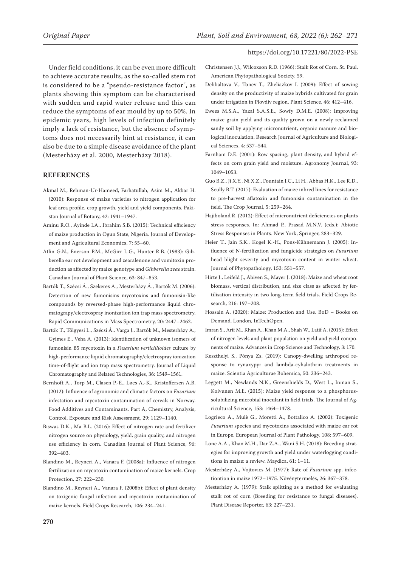Under field conditions, it can be even more difficult to achieve accurate results, as the so-called stem rot is considered to be a "pseudo-resistance factor", as plants showing this symptom can be characterised with sudden and rapid water release and this can reduce the symptoms of ear mould by up to 50%. In epidemic years, high levels of infection definitely imply a lack of resistance, but the absence of symptoms does not necessarily hint at resistance, it can also be due to a simple disease avoidance of the plant (Mesterházy et al. 2000, Mesterházy 2018).

# **REFERENCES**

- Akmal M., Rehman-Ur-Hameed, Farhatullah, Asim M., Akbar H. (2010): Response of maize varieties to nitrogen application for leaf area profile, crop growth, yield and yield components. Pakistan Journal of Botany, 42: 1941–1947.
- Aminu R.O., Ayinde I.A., Ibrahim S.B. (2015): Technical efficiency of maize production in Ogun State, Nigeria. Journal of Development and Agricultural Economics, 7: 55–60.
- Atlin G.N., Enerson P.M., McGirr L.G., Hunter R.B. (1983): Gibberella ear rot development and zearalenone and vomitoxin production as affected by maize genotype and *Gibberella zeae* strain. Canadian Journal of Plant Science, 63: 847–853.
- Bartók T., Szécsi Á., Szekeres A., Mesterházy Á., Bartók M. (2006): Detection of new fumonisins mycotoxins and fumonisin-like compounds by reversed-phase high-performance liquid chromatograpy/electrospray inonization ion trap mass spectrometry. Rapid Communications in Mass Spectrometry, 20: 2447–2462.
- Bartók T., Tölgyesi L., Szécsi Á., Varga J., Bartók M., Mesterházy A., Gyimes E., Veha A. (2013): Identification of unknown isomers of fumonisin B5 mycotoxin in a *Fusarium verticillioides* culture by high-performance liquid chromatography/electrospray ionization time-of-flight and ion trap mass spectrometry. Journal of Liquid Chromatography and Related Technologies, 36: 1549–1561.
- Bernhoft A., Torp M., Clasen P.-E., Løes A.-K., Kristoffersen A.B. (2012): Influence of agronomic and climatic factors on *Fusarium* infestation and mycotoxin contamination of cereals in Norway. Food Additives and Contaminants. Part A, Chemistry, Analysis, Control, Exposure and Risk Assessment, 29: 1129–1140.
- Biswas D.K., Ma B.L. (2016): Effect of nitrogen rate and fertilizer nitrogen source on physiology, yield, grain quality, and nitrogen use efficiency in corn. Canadian Journal of Plant Science, 96: 392–403.
- Blandino M., Reyneri A., Vanara F. (2008a): Influence of nitrogen fertilization on mycotoxin contamination of maize kernels. Crop Protection, 27: 222–230.
- Blandino M., Reyneri A., Vanara F. (2008b): Effect of plant density on toxigenic fungal infection and mycotoxin contamination of maize kernels. Field Crops Research, 106: 234–241.
- Christensen J.J., Wilcoxson R.D. (1966): Stalk Rot of Corn. St. Paul, American Phytopathological Society, 59.
- Delibaltova V., Tonev T., Zheliazkov I. (2009): Effect of sowing density on the productivity of maize hybrids cultivated for grain under irrigation in Plovdiv region. Plant Science, 46: 412–416.
- Ewees M.S.A., Yazal S.A.S.E., Sowfy D.M.E. (2008): Improving maize grain yield and its quality grown on a newly reclaimed sandy soil by applying micronutrient, organic manure and biological inoculation. Research Journal of Agriculture and Biological Sciences, 4: 537–544.
- Farnham D.E. (2001): Row spacing, plant density, and hybrid effects on corn grain yield and moisture. Agronomy Journal, 93: 1049–1053.
- Guo B.Z., Ji X.Y., Ni X.Z., Fountain J.C., Li H., Abbas H.K., Lee R.D., Scully B.T. (2017): Evaluation of maize inbred lines for resistance to pre-harvest aflatoxin and fumonisin contamination in the field. The Crop Journal, 5: 259–264.
- Hajiboland R. (2012): Effect of micronutrient deficiencies on plants stress responses. In: Ahmad P., Prasad M.N.V. (eds.): Abiotic Stress Responses in Plants. New York, Springer, 283–329.
- Heier T., Jain S.K., Kogel K.-H., Pons-Kühnemann J. (2005): Influence of N-fertilization and fungicide strategies on *Fusarium* head blight severity and mycotoxin content in winter wheat. Journal of Phytopathology, 153: 551–557.
- Hirte J., Leifeld J., Abiven S., Mayer J. (2018): Maize and wheat root biomass, vertical distribution, and size class as affected by fertilisation intensity in two long-term field trials. Field Crops Research, 216: 197–208.
- Hossain A. (2020): Maize: Production and Use. BoD Books on Demand. London, InTechOpen.
- Imran S., Arif M., Khan A., Khan M.A., Shah W., Latif A. (2015): Effect of nitrogen levels and plant population on yield and yield components of maize. Advances in Crop Science and Technology, 3: 170.
- Keszthelyi S., Pónya Zs. (2019): Canopy-dwelling arthropod response to rynaxypyr and lambda-cyhalothrin treatments in maize. Scientia Agriculturae Bohemica, 50: 236–243.
- Leggett M., Newlands N.K., Greenshields D., West L., Inman S., Koivunen M.E. (2015): Maize yield response to a phosphorussolubilizing microbial inoculant in field trials. The Journal of Agricultural Science, 153: 1464–1478.
- Logrieco A., Mulè G., Moretti A., Bottalico A. (2002): Toxigenic *Fusarium* species and mycotoxins associated with maize ear rot in Europe. European Journal of Plant Pathology, 108: 597–609.
- Lone A.A., Khan M.H., Dar Z.A., Wani S.H. (2018): Breeding strategies for improving growth and yield under waterlogging conditions in maize: a review. Maydica, 61: 1–11.
- Mesterházy A., Vojtovics M. (1977): Rate of *Fusarium* spp. infectiontion in maize 1972–1975. Növénytermelés, 26: 367–378.
- Mesterházy A. (1979): Stalk splitting as a method for evaluating stalk rot of corn (Breeding for resistance to fungal diseases). Plant Disease Reporter, 63: 227–231.